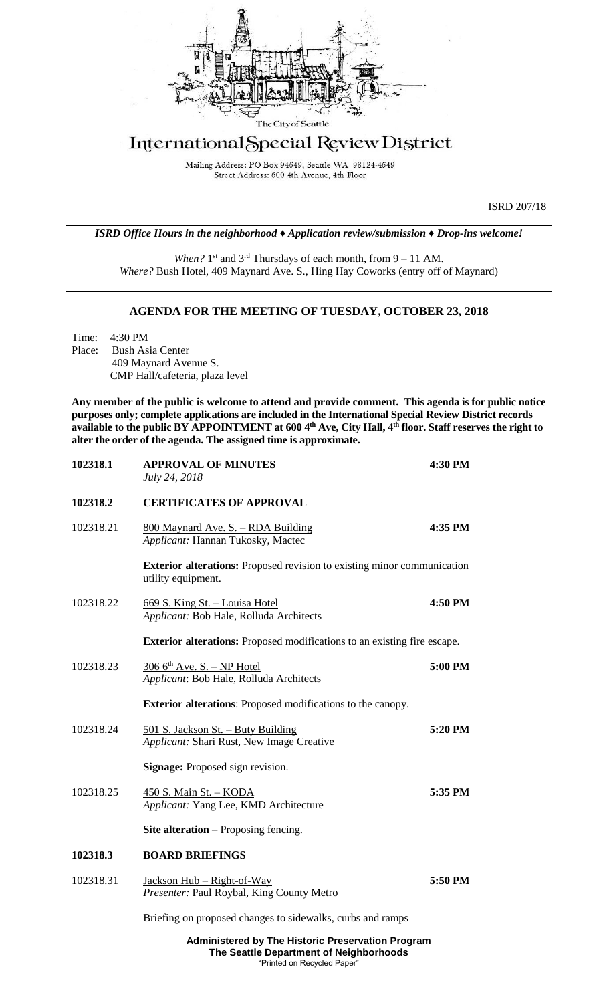

## International Special Review District

Mailing Address: PO Box 94649, Seattle WA 98124-4649 Street Address: 600 4th Avenue, 4th Floor

ISRD 207/18

*ISRD Office Hours in the neighborhood ♦ Application review/submission ♦ Drop-ins welcome!*

When? 1<sup>st</sup> and 3<sup>rd</sup> Thursdays of each month, from 9 – 11 AM. *Where?* Bush Hotel, 409 Maynard Ave. S., Hing Hay Coworks (entry off of Maynard)

## **AGENDA FOR THE MEETING OF TUESDAY, OCTOBER 23, 2018**

Time: 4:30 PM Place: Bush Asia Center 409 Maynard Avenue S. CMP Hall/cafeteria, plaza level

**Any member of the public is welcome to attend and provide comment. This agenda is for public notice purposes only; complete applications are included in the International Special Review District records available to the public BY APPOINTMENT at 600 4th Ave, City Hall, 4th floor. Staff reserves the right to alter the order of the agenda. The assigned time is approximate.** 

| 102318.1  | <b>APPROVAL OF MINUTES</b><br>July 24, 2018                                                          | 4:30 PM |  |
|-----------|------------------------------------------------------------------------------------------------------|---------|--|
| 102318.2  | <b>CERTIFICATES OF APPROVAL</b>                                                                      |         |  |
| 102318.21 | 800 Maynard Ave. S. - RDA Building<br>Applicant: Hannan Tukosky, Mactec                              | 4:35 PM |  |
|           | <b>Exterior alterations:</b> Proposed revision to existing minor communication<br>utility equipment. |         |  |
| 102318.22 | 669 S. King St. - Louisa Hotel<br>Applicant: Bob Hale, Rolluda Architects                            | 4:50 PM |  |
|           | <b>Exterior alterations:</b> Proposed modifications to an existing fire escape.                      |         |  |
| 102318.23 | $3066$ <sup>th</sup> Ave. S. - NP Hotel<br>Applicant: Bob Hale, Rolluda Architects                   | 5:00 PM |  |
|           | <b>Exterior alterations:</b> Proposed modifications to the canopy.                                   |         |  |
| 102318.24 | 501 S. Jackson St. - Buty Building<br>Applicant: Shari Rust, New Image Creative                      | 5:20 PM |  |
|           | <b>Signage:</b> Proposed sign revision.                                                              |         |  |
| 102318.25 | 450 S. Main St. - KODA<br>Applicant: Yang Lee, KMD Architecture                                      | 5:35 PM |  |
|           | <b>Site alteration</b> – Proposing fencing.                                                          |         |  |
| 102318.3  | <b>BOARD BRIEFINGS</b>                                                                               |         |  |
| 102318.31 | Jackson Hub – Right-of-Way<br>Presenter: Paul Roybal, King County Metro                              | 5:50 PM |  |
|           | Briefing on proposed changes to sidewalks, curbs and ramps                                           |         |  |